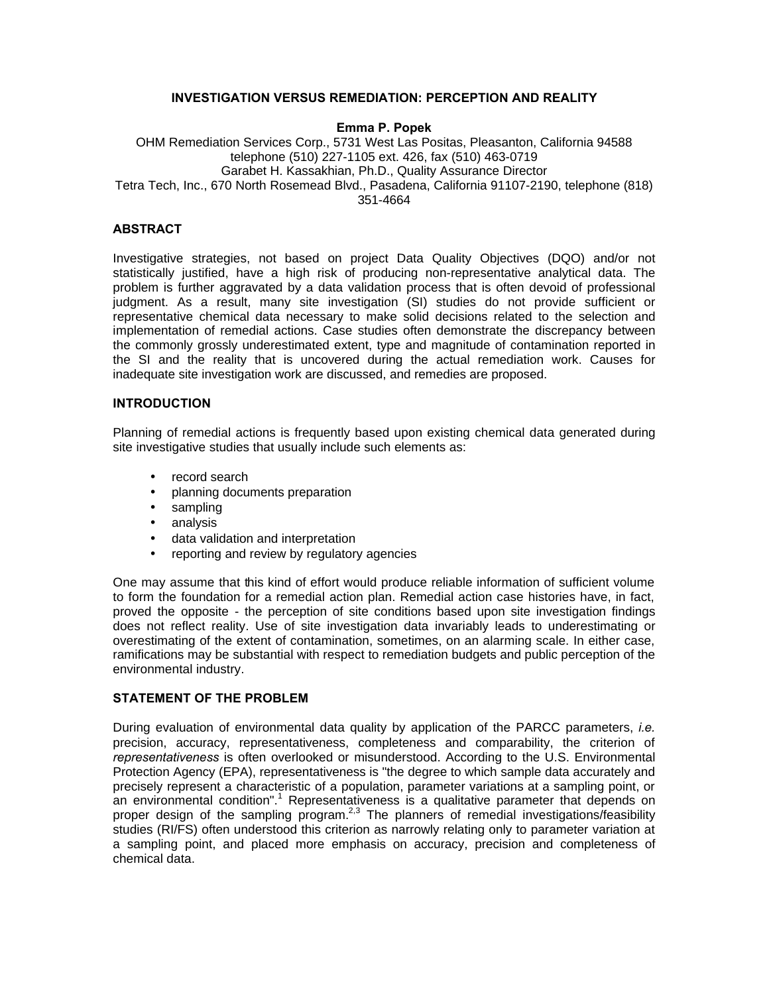## **INVESTIGATION VERSUS REMEDIATION: PERCEPTION AND REALITY**

### **Emma P. Popek**

OHM Remediation Services Corp., 5731 West Las Positas, Pleasanton, California 94588 telephone (510) 227-1105 ext. 426, fax (510) 463-0719 Garabet H. Kassakhian, Ph.D., Quality Assurance Director Tetra Tech, Inc., 670 North Rosemead Blvd., Pasadena, California 91107-2190, telephone (818) 351-4664

#### **ABSTRACT**

Investigative strategies, not based on project Data Quality Objectives (DQO) and/or not statistically justified, have a high risk of producing non-representative analytical data. The problem is further aggravated by a data validation process that is often devoid of professional judgment. As a result, many site investigation (SI) studies do not provide sufficient or representative chemical data necessary to make solid decisions related to the selection and implementation of remedial actions. Case studies often demonstrate the discrepancy between the commonly grossly underestimated extent, type and magnitude of contamination reported in the SI and the reality that is uncovered during the actual remediation work. Causes for inadequate site investigation work are discussed, and remedies are proposed.

#### **INTRODUCTION**

Planning of remedial actions is frequently based upon existing chemical data generated during site investigative studies that usually include such elements as:

- record search
- planning documents preparation
- sampling
- analysis
- data validation and interpretation
- reporting and review by regulatory agencies

One may assume that this kind of effort would produce reliable information of sufficient volume to form the foundation for a remedial action plan. Remedial action case histories have, in fact, proved the opposite - the perception of site conditions based upon site investigation findings does not reflect reality. Use of site investigation data invariably leads to underestimating or overestimating of the extent of contamination, sometimes, on an alarming scale. In either case, ramifications may be substantial with respect to remediation budgets and public perception of the environmental industry.

### **STATEMENT OF THE PROBLEM**

During evaluation of environmental data quality by application of the PARCC parameters, *i.e.* precision, accuracy, representativeness, completeness and comparability, the criterion of *representativeness* is often overlooked or misunderstood. According to the U.S. Environmental Protection Agency (EPA), representativeness is "the degree to which sample data accurately and precisely represent a characteristic of a population, parameter variations at a sampling point, or an environmental condition".<sup>1</sup> Representativeness is a qualitative parameter that depends on proper design of the sampling program.<sup>2,3</sup> The planners of remedial investigations/feasibility studies (RI/FS) often understood this criterion as narrowly relating only to parameter variation at a sampling point, and placed more emphasis on accuracy, precision and completeness of chemical data.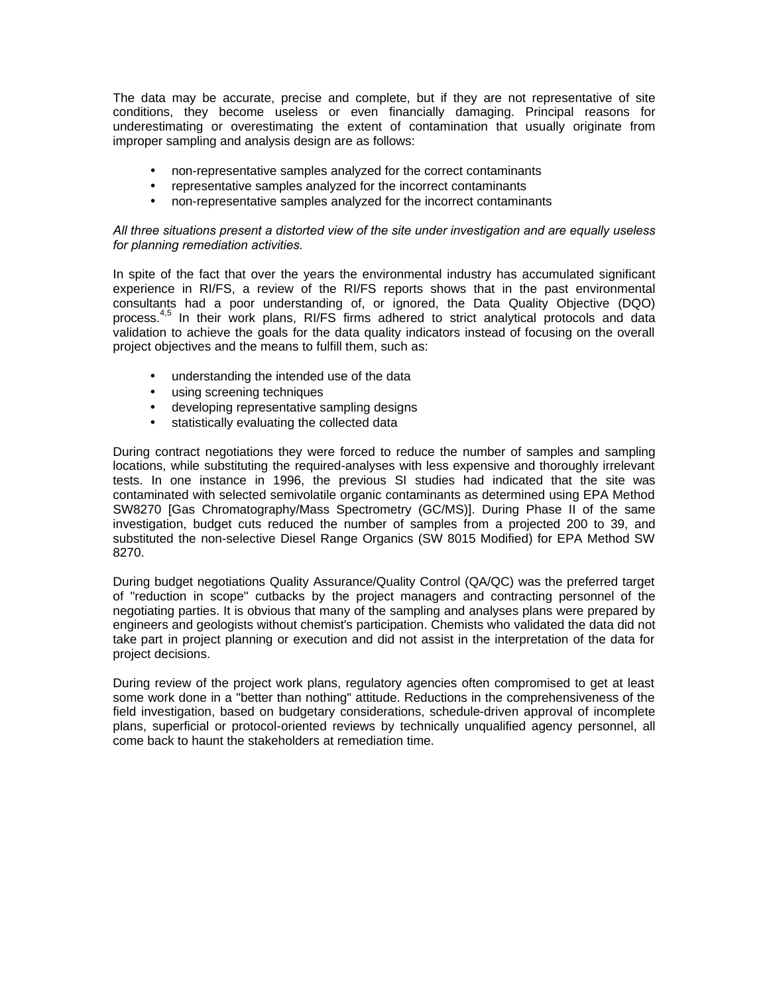The data may be accurate, precise and complete, but if they are not representative of site conditions, they become useless or even financially damaging. Principal reasons for underestimating or overestimating the extent of contamination that usually originate from improper sampling and analysis design are as follows:

- non-representative samples analyzed for the correct contaminants
- representative samples analyzed for the incorrect contaminants
- non-representative samples analyzed for the incorrect contaminants

### *All three situations present a distorted view of the site under investigation and are equally useless for planning remediation activities.*

In spite of the fact that over the years the environmental industry has accumulated significant experience in RI/FS, a review of the RI/FS reports shows that in the past environmental consultants had a poor understanding of, or ignored, the Data Quality Objective (DQO) process.<sup>4,5</sup> In their work plans, RI/FS firms adhered to strict analytical protocols and data validation to achieve the goals for the data quality indicators instead of focusing on the overall project objectives and the means to fulfill them, such as:

- understanding the intended use of the data
- using screening techniques
- developing representative sampling designs
- statistically evaluating the collected data

During contract negotiations they were forced to reduce the number of samples and sampling locations, while substituting the required-analyses with less expensive and thoroughly irrelevant tests. In one instance in 1996, the previous SI studies had indicated that the site was contaminated with selected semivolatile organic contaminants as determined using EPA Method SW8270 [Gas Chromatography/Mass Spectrometry (GC/MS)]. During Phase II of the same investigation, budget cuts reduced the number of samples from a projected 200 to 39, and substituted the non-selective Diesel Range Organics (SW 8015 Modified) for EPA Method SW 8270.

During budget negotiations Quality Assurance/Quality Control (QA/QC) was the preferred target of "reduction in scope" cutbacks by the project managers and contracting personnel of the negotiating parties. It is obvious that many of the sampling and analyses plans were prepared by engineers and geologists without chemist's participation. Chemists who validated the data did not take part in project planning or execution and did not assist in the interpretation of the data for project decisions.

During review of the project work plans, regulatory agencies often compromised to get at least some work done in a "better than nothing" attitude. Reductions in the comprehensiveness of the field investigation, based on budgetary considerations, schedule-driven approval of incomplete plans, superficial or protocol-oriented reviews by technically unqualified agency personnel, all come back to haunt the stakeholders at remediation time.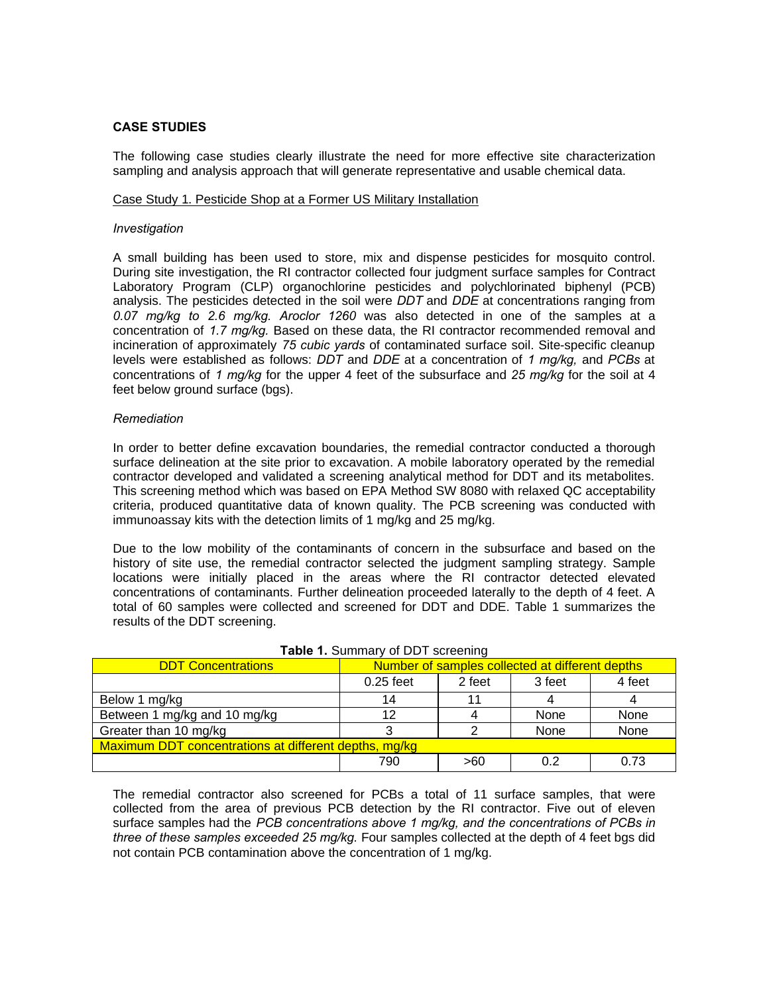# **CASE STUDIES**

The following case studies clearly illustrate the need for more effective site characterization sampling and analysis approach that will generate representative and usable chemical data.

## Case Study 1. Pesticide Shop at a Former US Military Installation

#### *Investigation*

A small building has been used to store, mix and dispense pesticides for mosquito control. During site investigation, the RI contractor collected four judgment surface samples for Contract Laboratory Program (CLP) organochlorine pesticides and polychlorinated biphenyl (PCB) analysis. The pesticides detected in the soil were *DDT* and *DDE* at concentrations ranging from *0.07 mg/kg to 2.6 mg/kg. Aroclor 1260* was also detected in one of the samples at a concentration of *1.7 mg/kg.* Based on these data, the RI contractor recommended removal and incineration of approximately *75 cubic yards* of contaminated surface soil. Site-specific cleanup levels were established as follows: *DDT* and *DDE* at a concentration of *1 mg/kg,* and *PCBs* at concentrations of *1 mg/kg* for the upper 4 feet of the subsurface and *25 mg/kg* for the soil at 4 feet below ground surface (bgs).

#### *Remediation*

In order to better define excavation boundaries, the remedial contractor conducted a thorough surface delineation at the site prior to excavation. A mobile laboratory operated by the remedial contractor developed and validated a screening analytical method for DDT and its metabolites. This screening method which was based on EPA Method SW 8080 with relaxed QC acceptability criteria, produced quantitative data of known quality. The PCB screening was conducted with immunoassay kits with the detection limits of 1 mg/kg and 25 mg/kg.

Due to the low mobility of the contaminants of concern in the subsurface and based on the history of site use, the remedial contractor selected the judgment sampling strategy. Sample locations were initially placed in the areas where the RI contractor detected elevated concentrations of contaminants. Further delineation proceeded laterally to the depth of 4 feet. A total of 60 samples were collected and screened for DDT and DDE. Table 1 summarizes the results of the DDT screening.

| <b>DDT Concentrations</b>                             | Number of samples collected at different depths |        |        |        |
|-------------------------------------------------------|-------------------------------------------------|--------|--------|--------|
|                                                       | $0.25$ feet                                     | 2 feet | 3 feet | 4 feet |
| Below 1 mg/kg                                         | 14                                              |        |        |        |
| Between 1 mg/kg and 10 mg/kg                          | 12                                              | 4      | None   | None   |
| Greater than 10 mg/kg                                 |                                                 |        | None   | None   |
| Maximum DDT concentrations at different depths, mg/kg |                                                 |        |        |        |
|                                                       | 790                                             | >60    | 0.2    | 0.73   |

#### **Table 1.** Summary of DDT screening

The remedial contractor also screened for PCBs a total of 11 surface samples, that were collected from the area of previous PCB detection by the RI contractor. Five out of eleven surface samples had the *PCB concentrations above 1 mg/kg, and the concentrations of PCBs in three of these samples exceeded 25 mg/kg.* Four samples collected at the depth of 4 feet bgs did not contain PCB contamination above the concentration of 1 mg/kg.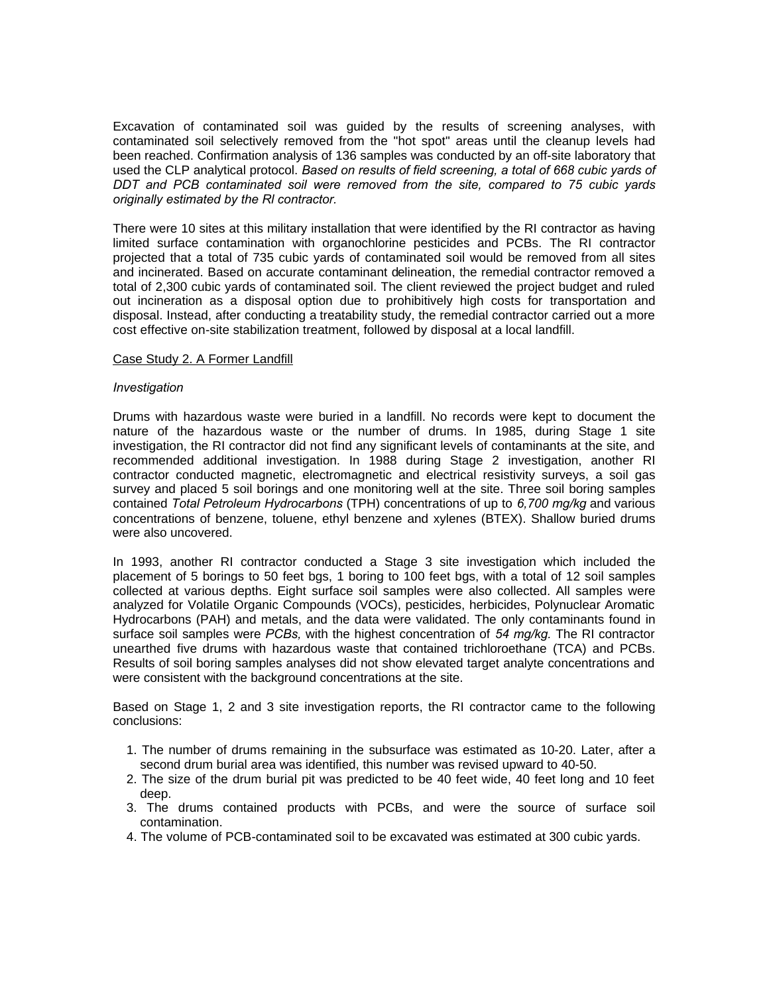Excavation of contaminated soil was guided by the results of screening analyses, with contaminated soil selectively removed from the "hot spot" areas until the cleanup levels had been reached. Confirmation analysis of 136 samples was conducted by an off-site laboratory that used the CLP analytical protocol. *Based on results of field screening, a total of 668 cubic yards of DDT and PCB contaminated soil were removed from the site, compared to 75 cubic yards originally estimated by the Rl contractor.*

There were 10 sites at this military installation that were identified by the RI contractor as having limited surface contamination with organochlorine pesticides and PCBs. The RI contractor projected that a total of 735 cubic yards of contaminated soil would be removed from all sites and incinerated. Based on accurate contaminant delineation, the remedial contractor removed a total of 2,300 cubic yards of contaminated soil. The client reviewed the project budget and ruled out incineration as a disposal option due to prohibitively high costs for transportation and disposal. Instead, after conducting a treatability study, the remedial contractor carried out a more cost effective on-site stabilization treatment, followed by disposal at a local landfill.

#### Case Study 2. A Former Landfill

#### *Investigation*

Drums with hazardous waste were buried in a landfill. No records were kept to document the nature of the hazardous waste or the number of drums. In 1985, during Stage 1 site investigation, the RI contractor did not find any significant levels of contaminants at the site, and recommended additional investigation. In 1988 during Stage 2 investigation, another RI contractor conducted magnetic, electromagnetic and electrical resistivity surveys, a soil gas survey and placed 5 soil borings and one monitoring well at the site. Three soil boring samples contained *Total Petroleum Hydrocarbons* (TPH) concentrations of up to *6,700 mg/kg* and various concentrations of benzene, toluene, ethyl benzene and xylenes (BTEX). Shallow buried drums were also uncovered.

In 1993, another RI contractor conducted a Stage 3 site investigation which included the placement of 5 borings to 50 feet bgs, 1 boring to 100 feet bgs, with a total of 12 soil samples collected at various depths. Eight surface soil samples were also collected. All samples were analyzed for Volatile Organic Compounds (VOCs), pesticides, herbicides, Polynuclear Aromatic Hydrocarbons (PAH) and metals, and the data were validated. The only contaminants found in surface soil samples were *PCBs,* with the highest concentration of *54 mg/kg.* The RI contractor unearthed five drums with hazardous waste that contained trichloroethane (TCA) and PCBs. Results of soil boring samples analyses did not show elevated target analyte concentrations and were consistent with the background concentrations at the site.

Based on Stage 1, 2 and 3 site investigation reports, the RI contractor came to the following conclusions:

- 1. The number of drums remaining in the subsurface was estimated as 10-20. Later, after a second drum burial area was identified, this number was revised upward to 40-50.
- 2. The size of the drum burial pit was predicted to be 40 feet wide, 40 feet long and 10 feet deep.
- 3. The drums contained products with PCBs, and were the source of surface soil contamination.
- 4. The volume of PCB-contaminated soil to be excavated was estimated at 300 cubic yards.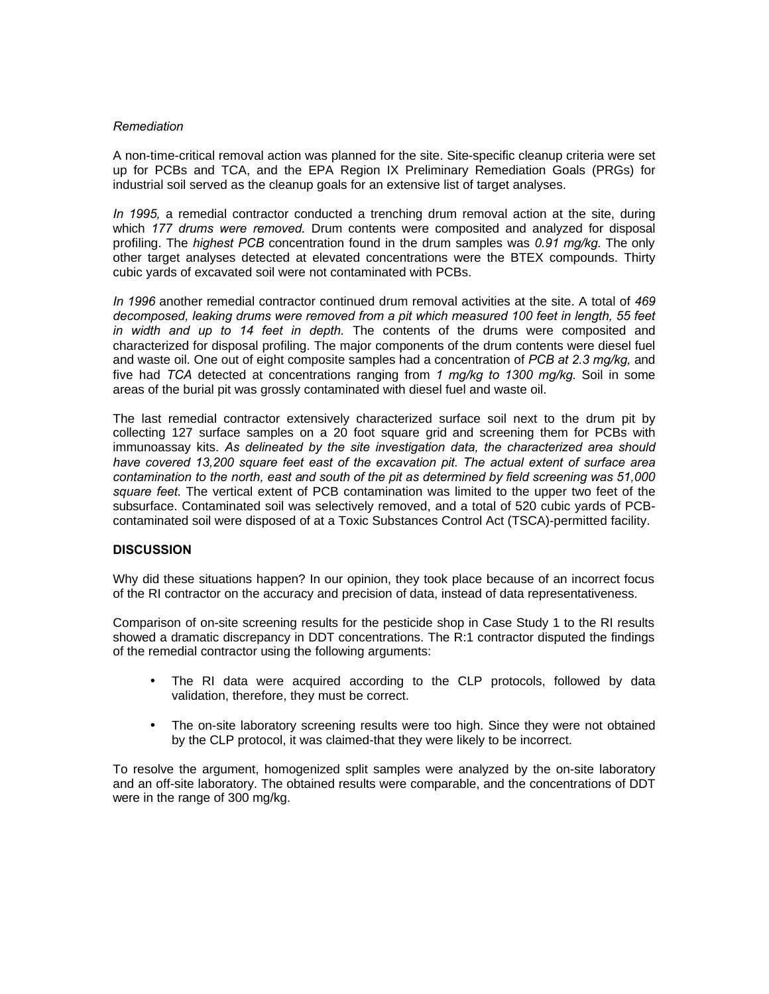### *Remediation*

A non-time-critical removal action was planned for the site. Site-specific cleanup criteria were set up for PCBs and TCA, and the EPA Region IX Preliminary Remediation Goals (PRGs) for industrial soil served as the cleanup goals for an extensive list of target analyses.

*In 1995,* a remedial contractor conducted a trenching drum removal action at the site, during which *177 drums were removed.* Drum contents were composited and analyzed for disposal profiling. The *highest PCB* concentration found in the drum samples was *0.91 mg/kg.* The only other target analyses detected at elevated concentrations were the BTEX compounds. Thirty cubic yards of excavated soil were not contaminated with PCBs.

*In 1996* another remedial contractor continued drum removal activities at the site. A total of *469 decomposed, leaking drums were removed from a pit which measured 100 feet in length, 55 feet in width and up to 14 feet in depth.* The contents of the drums were composited and characterized for disposal profiling. The major components of the drum contents were diesel fuel and waste oil. One out of eight composite samples had a concentration of *PCB at 2.3 mg/kg,* and five had *TCA* detected at concentrations ranging from *1 mg/kg to 1300 mg/kg.* Soil in some areas of the burial pit was grossly contaminated with diesel fuel and waste oil.

The last remedial contractor extensively characterized surface soil next to the drum pit by collecting 127 surface samples on a 20 foot square grid and screening them for PCBs with immunoassay kits. *As delineated by the site investigation data, the characterized area should have covered 13,200 square feet east of the excavation pit. The actual extent of surface area contamination to the north, east and south of the pit as determined by field screening was 51,000 square feet.* The vertical extent of PCB contamination was limited to the upper two feet of the subsurface. Contaminated soil was selectively removed, and a total of 520 cubic yards of PCBcontaminated soil were disposed of at a Toxic Substances Control Act (TSCA)-permitted facility.

### **DISCUSSION**

Why did these situations happen? In our opinion, they took place because of an incorrect focus of the RI contractor on the accuracy and precision of data, instead of data representativeness.

Comparison of on-site screening results for the pesticide shop in Case Study 1 to the RI results showed a dramatic discrepancy in DDT concentrations. The R:1 contractor disputed the findings of the remedial contractor using the following arguments:

- The RI data were acquired according to the CLP protocols, followed by data validation, therefore, they must be correct.
- The on-site laboratory screening results were too high. Since they were not obtained by the CLP protocol, it was claimed-that they were likely to be incorrect.

To resolve the argument, homogenized split samples were analyzed by the on-site laboratory and an off-site laboratory. The obtained results were comparable, and the concentrations of DDT were in the range of 300 mg/kg.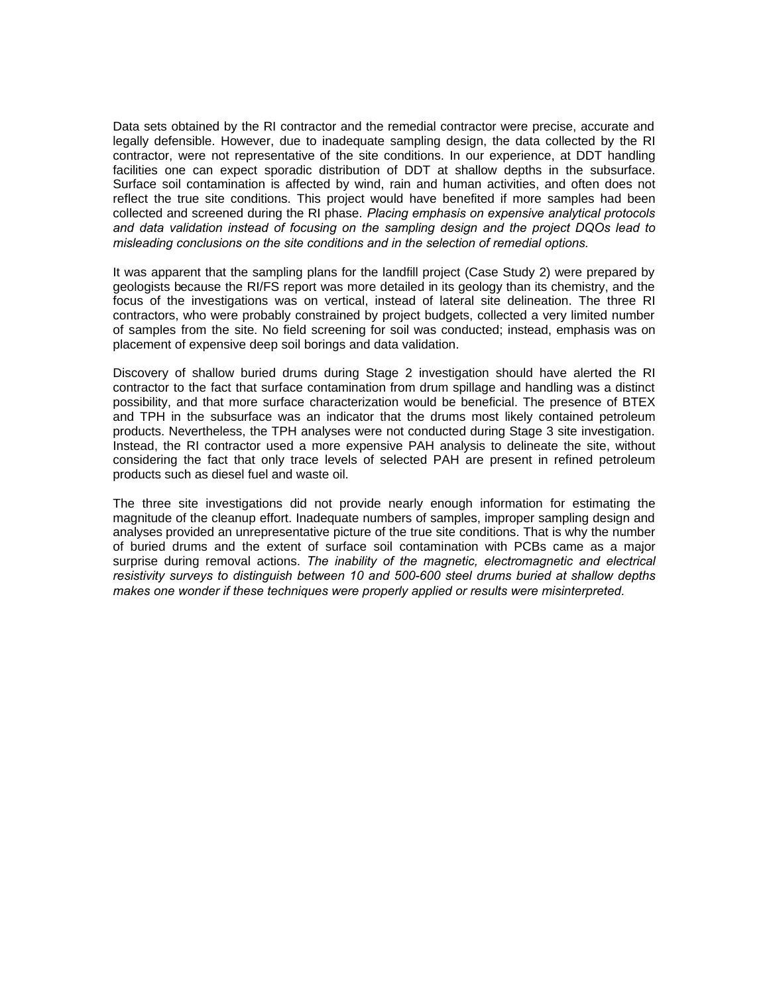Data sets obtained by the RI contractor and the remedial contractor were precise, accurate and legally defensible. However, due to inadequate sampling design, the data collected by the RI contractor, were not representative of the site conditions. In our experience, at DDT handling facilities one can expect sporadic distribution of DDT at shallow depths in the subsurface. Surface soil contamination is affected by wind, rain and human activities, and often does not reflect the true site conditions. This project would have benefited if more samples had been collected and screened during the RI phase. *Placing emphasis on expensive analytical protocols and data validation instead of focusing on the sampling design and the project DQOs lead to misleading conclusions on the site conditions and in the selection of remedial options.* 

It was apparent that the sampling plans for the landfill project (Case Study 2) were prepared by geologists because the RI/FS report was more detailed in its geology than its chemistry, and the focus of the investigations was on vertical, instead of lateral site delineation. The three RI contractors, who were probably constrained by project budgets, collected a very limited number of samples from the site. No field screening for soil was conducted; instead, emphasis was on placement of expensive deep soil borings and data validation.

Discovery of shallow buried drums during Stage 2 investigation should have alerted the RI contractor to the fact that surface contamination from drum spillage and handling was a distinct possibility, and that more surface characterization would be beneficial. The presence of BTEX and TPH in the subsurface was an indicator that the drums most likely contained petroleum products. Nevertheless, the TPH analyses were not conducted during Stage 3 site investigation. Instead, the RI contractor used a more expensive PAH analysis to delineate the site, without considering the fact that only trace levels of selected PAH are present in refined petroleum products such as diesel fuel and waste oil.

The three site investigations did not provide nearly enough information for estimating the magnitude of the cleanup effort. Inadequate numbers of samples, improper sampling design and analyses provided an unrepresentative picture of the true site conditions. That is why the number of buried drums and the extent of surface soil contamination with PCBs came as a major surprise during removal actions. *The inability of the magnetic, electromagnetic and electrical resistivity surveys to distinguish between 10 and 500-600 steel drums buried at shallow depths makes one wonder if these techniques were properly applied or results were misinterpreted.*